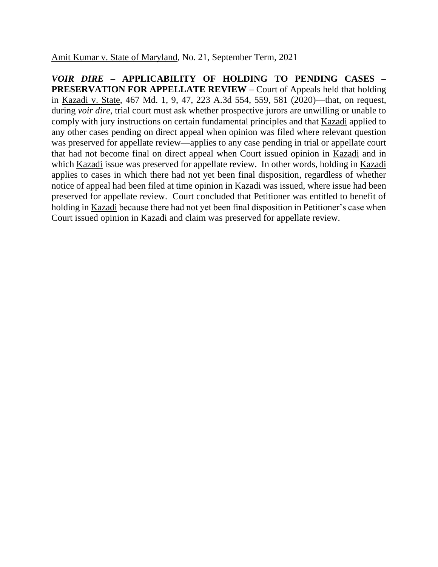Amit Kumar v. State of Maryland, No. 21, September Term, 2021

*VOIR DIRE* **– APPLICABILITY OF HOLDING TO PENDING CASES – PRESERVATION FOR APPELLATE REVIEW –** Court of Appeals held that holding in Kazadi v. State, 467 Md. 1, 9, 47, 223 A.3d 554, 559, 581 (2020)—that, on request, during *voir dire*, trial court must ask whether prospective jurors are unwilling or unable to comply with jury instructions on certain fundamental principles and that Kazadi applied to any other cases pending on direct appeal when opinion was filed where relevant question was preserved for appellate review—applies to any case pending in trial or appellate court that had not become final on direct appeal when Court issued opinion in Kazadi and in which Kazadi issue was preserved for appellate review. In other words, holding in Kazadi applies to cases in which there had not yet been final disposition, regardless of whether notice of appeal had been filed at time opinion in Kazadi was issued, where issue had been preserved for appellate review. Court concluded that Petitioner was entitled to benefit of holding in Kazadi because there had not yet been final disposition in Petitioner's case when Court issued opinion in Kazadi and claim was preserved for appellate review.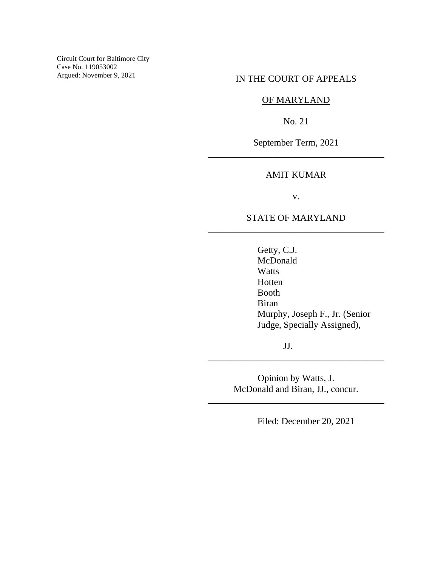Circuit Court for Baltimore City Case No. 119053002 Argued: November 9, 2021

## IN THE COURT OF APPEALS

## OF MARYLAND

No. 21

September Term, 2021 \_\_\_\_\_\_\_\_\_\_\_\_\_\_\_\_\_\_\_\_\_\_\_\_\_\_\_\_\_\_\_\_\_\_\_\_\_\_

## AMIT KUMAR

v.

# STATE OF MARYLAND \_\_\_\_\_\_\_\_\_\_\_\_\_\_\_\_\_\_\_\_\_\_\_\_\_\_\_\_\_\_\_\_\_\_\_\_\_\_

Getty, C.J. McDonald Watts Hotten Booth Biran Murphy, Joseph F., Jr. (Senior Judge, Specially Assigned),

JJ.

Opinion by Watts, J. McDonald and Biran, JJ., concur.

\_\_\_\_\_\_\_\_\_\_\_\_\_\_\_\_\_\_\_\_\_\_\_\_\_\_\_\_\_\_\_\_\_\_\_\_\_\_

\_\_\_\_\_\_\_\_\_\_\_\_\_\_\_\_\_\_\_\_\_\_\_\_\_\_\_\_\_\_\_\_\_\_\_\_\_\_

Filed: December 20, 2021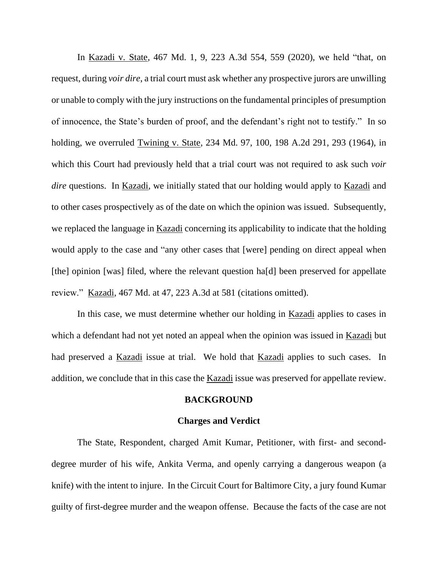In Kazadi v. State, 467 Md. 1, 9, 223 A.3d 554, 559 (2020), we held "that, on request, during *voir dire*, a trial court must ask whether any prospective jurors are unwilling or unable to comply with the jury instructions on the fundamental principles of presumption of innocence, the State's burden of proof, and the defendant's right not to testify." In so holding, we overruled Twining v. State, 234 Md. 97, 100, 198 A.2d 291, 293 (1964), in which this Court had previously held that a trial court was not required to ask such *voir dire* questions. In Kazadi, we initially stated that our holding would apply to Kazadi and to other cases prospectively as of the date on which the opinion was issued. Subsequently, we replaced the language in Kazadi concerning its applicability to indicate that the holding would apply to the case and "any other cases that [were] pending on direct appeal when [the] opinion [was] filed, where the relevant question ha[d] been preserved for appellate review." Kazadi, 467 Md. at 47, 223 A.3d at 581 (citations omitted).

In this case, we must determine whether our holding in Kazadi applies to cases in which a defendant had not yet noted an appeal when the opinion was issued in Kazadi but had preserved a Kazadi issue at trial. We hold that Kazadi applies to such cases. In addition, we conclude that in this case the Kazadi issue was preserved for appellate review.

#### **BACKGROUND**

#### **Charges and Verdict**

The State, Respondent, charged Amit Kumar, Petitioner, with first- and seconddegree murder of his wife, Ankita Verma, and openly carrying a dangerous weapon (a knife) with the intent to injure. In the Circuit Court for Baltimore City, a jury found Kumar guilty of first-degree murder and the weapon offense. Because the facts of the case are not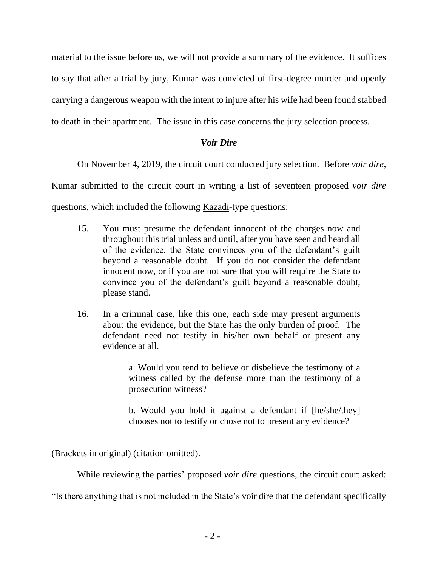material to the issue before us, we will not provide a summary of the evidence. It suffices to say that after a trial by jury, Kumar was convicted of first-degree murder and openly carrying a dangerous weapon with the intent to injure after his wife had been found stabbed to death in their apartment. The issue in this case concerns the jury selection process.

# *Voir Dire*

On November 4, 2019, the circuit court conducted jury selection. Before *voir dire*,

Kumar submitted to the circuit court in writing a list of seventeen proposed *voir dire*

questions, which included the following Kazadi-type questions:

- 15. You must presume the defendant innocent of the charges now and throughout this trial unless and until, after you have seen and heard all of the evidence, the State convinces you of the defendant's guilt beyond a reasonable doubt. If you do not consider the defendant innocent now, or if you are not sure that you will require the State to convince you of the defendant's guilt beyond a reasonable doubt, please stand.
- 16. In a criminal case, like this one, each side may present arguments about the evidence, but the State has the only burden of proof. The defendant need not testify in his/her own behalf or present any evidence at all.

a. Would you tend to believe or disbelieve the testimony of a witness called by the defense more than the testimony of a prosecution witness?

b. Would you hold it against a defendant if [he/she/they] chooses not to testify or chose not to present any evidence?

(Brackets in original) (citation omitted).

While reviewing the parties' proposed *voir dire* questions, the circuit court asked:

"Is there anything that is not included in the State's voir dire that the defendant specifically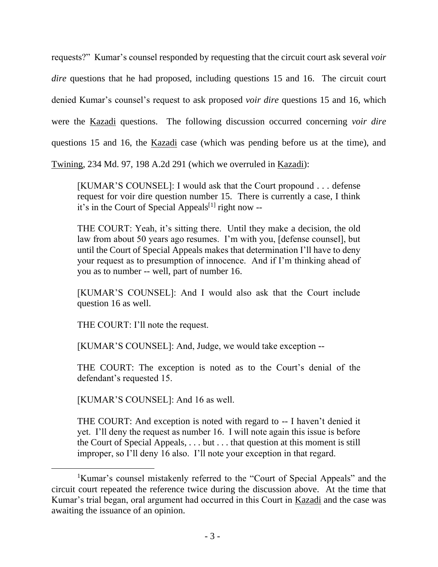requests?" Kumar's counsel responded by requesting that the circuit court ask several *voir dire* questions that he had proposed, including questions 15 and 16. The circuit court denied Kumar's counsel's request to ask proposed *voir dire* questions 15 and 16, which were the Kazadi questions. The following discussion occurred concerning *voir dire* questions 15 and 16, the Kazadi case (which was pending before us at the time), and

Twining, 234 Md. 97, 198 A.2d 291 (which we overruled in Kazadi):

[KUMAR'S COUNSEL]: I would ask that the Court propound . . . defense request for voir dire question number 15. There is currently a case, I think it's in the Court of Special Appeals<sup>[1]</sup> right now --

THE COURT: Yeah, it's sitting there. Until they make a decision, the old law from about 50 years ago resumes. I'm with you, [defense counsel], but until the Court of Special Appeals makes that determination I'll have to deny your request as to presumption of innocence. And if I'm thinking ahead of you as to number -- well, part of number 16.

[KUMAR'S COUNSEL]: And I would also ask that the Court include question 16 as well.

THE COURT: I'll note the request.

[KUMAR'S COUNSEL]: And, Judge, we would take exception --

THE COURT: The exception is noted as to the Court's denial of the defendant's requested 15.

[KUMAR'S COUNSEL]: And 16 as well.

THE COURT: And exception is noted with regard to -- I haven't denied it yet. I'll deny the request as number 16. I will note again this issue is before the Court of Special Appeals, . . . but . . . that question at this moment is still improper, so I'll deny 16 also. I'll note your exception in that regard.

<sup>&</sup>lt;sup>1</sup>Kumar's counsel mistakenly referred to the "Court of Special Appeals" and the circuit court repeated the reference twice during the discussion above. At the time that Kumar's trial began, oral argument had occurred in this Court in Kazadi and the case was awaiting the issuance of an opinion.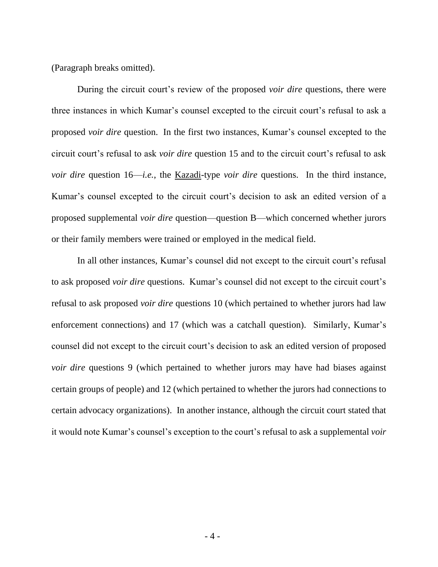(Paragraph breaks omitted).

During the circuit court's review of the proposed *voir dire* questions, there were three instances in which Kumar's counsel excepted to the circuit court's refusal to ask a proposed *voir dire* question. In the first two instances, Kumar's counsel excepted to the circuit court's refusal to ask *voir dire* question 15 and to the circuit court's refusal to ask *voir dire* question 16—*i.e.*, the Kazadi-type *voir dire* questions. In the third instance, Kumar's counsel excepted to the circuit court's decision to ask an edited version of a proposed supplemental *voir dire* question—question B—which concerned whether jurors or their family members were trained or employed in the medical field.

In all other instances, Kumar's counsel did not except to the circuit court's refusal to ask proposed *voir dire* questions. Kumar's counsel did not except to the circuit court's refusal to ask proposed *voir dire* questions 10 (which pertained to whether jurors had law enforcement connections) and 17 (which was a catchall question). Similarly, Kumar's counsel did not except to the circuit court's decision to ask an edited version of proposed *voir dire* questions 9 (which pertained to whether jurors may have had biases against certain groups of people) and 12 (which pertained to whether the jurors had connections to certain advocacy organizations). In another instance, although the circuit court stated that it would note Kumar's counsel's exception to the court's refusal to ask a supplemental *voir*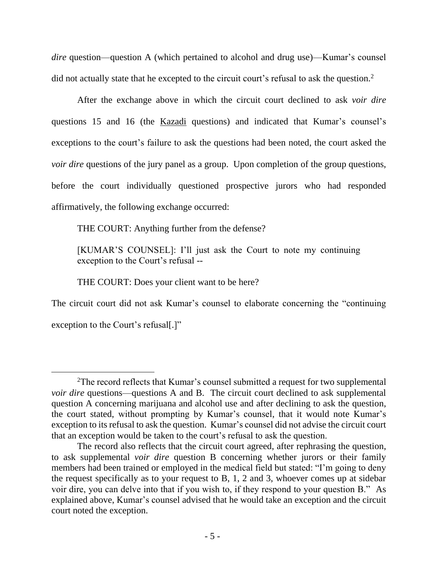*dire* question—question A (which pertained to alcohol and drug use)—Kumar's counsel did not actually state that he excepted to the circuit court's refusal to ask the question.<sup>2</sup>

After the exchange above in which the circuit court declined to ask *voir dire* questions 15 and 16 (the Kazadi questions) and indicated that Kumar's counsel's exceptions to the court's failure to ask the questions had been noted, the court asked the *voir dire* questions of the jury panel as a group. Upon completion of the group questions, before the court individually questioned prospective jurors who had responded affirmatively, the following exchange occurred:

THE COURT: Anything further from the defense?

[KUMAR'S COUNSEL]: I'll just ask the Court to note my continuing exception to the Court's refusal --

THE COURT: Does your client want to be here?

The circuit court did not ask Kumar's counsel to elaborate concerning the "continuing exception to the Court's refusal.]"

<sup>2</sup>The record reflects that Kumar's counsel submitted a request for two supplemental *voir dire* questions—questions A and B. The circuit court declined to ask supplemental question A concerning marijuana and alcohol use and after declining to ask the question, the court stated, without prompting by Kumar's counsel, that it would note Kumar's exception to its refusal to ask the question. Kumar's counsel did not advise the circuit court that an exception would be taken to the court's refusal to ask the question.

The record also reflects that the circuit court agreed, after rephrasing the question, to ask supplemental *voir dire* question B concerning whether jurors or their family members had been trained or employed in the medical field but stated: "I'm going to deny the request specifically as to your request to B, 1, 2 and 3, whoever comes up at sidebar voir dire, you can delve into that if you wish to, if they respond to your question B." As explained above, Kumar's counsel advised that he would take an exception and the circuit court noted the exception.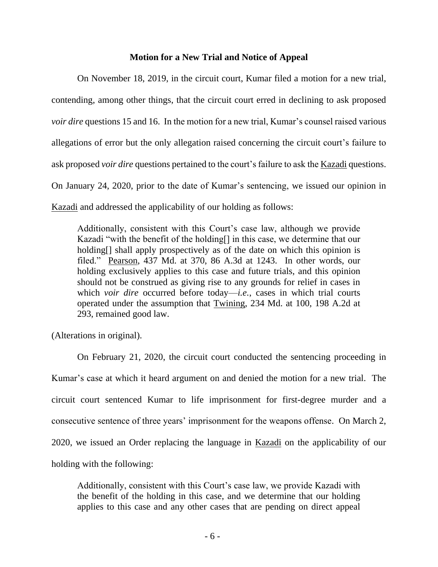### **Motion for a New Trial and Notice of Appeal**

On November 18, 2019, in the circuit court, Kumar filed a motion for a new trial, contending, among other things, that the circuit court erred in declining to ask proposed *voir dire* questions 15 and 16. In the motion for a new trial, Kumar's counsel raised various allegations of error but the only allegation raised concerning the circuit court's failure to ask proposed *voir dire* questions pertained to the court's failure to ask the Kazadi questions. On January 24, 2020, prior to the date of Kumar's sentencing, we issued our opinion in Kazadi and addressed the applicability of our holding as follows:

Additionally, consistent with this Court's case law, although we provide Kazadi "with the benefit of the holding[] in this case, we determine that our holding<sup>[]</sup> shall apply prospectively as of the date on which this opinion is filed." Pearson, 437 Md. at 370, 86 A.3d at 1243. In other words, our holding exclusively applies to this case and future trials, and this opinion should not be construed as giving rise to any grounds for relief in cases in which *voir dire* occurred before today—*i.e.*, cases in which trial courts operated under the assumption that Twining, 234 Md. at 100, 198 A.2d at 293, remained good law.

(Alterations in original).

On February 21, 2020, the circuit court conducted the sentencing proceeding in Kumar's case at which it heard argument on and denied the motion for a new trial. The circuit court sentenced Kumar to life imprisonment for first-degree murder and a consecutive sentence of three years' imprisonment for the weapons offense. On March 2, 2020, we issued an Order replacing the language in Kazadi on the applicability of our holding with the following:

Additionally, consistent with this Court's case law, we provide Kazadi with the benefit of the holding in this case, and we determine that our holding applies to this case and any other cases that are pending on direct appeal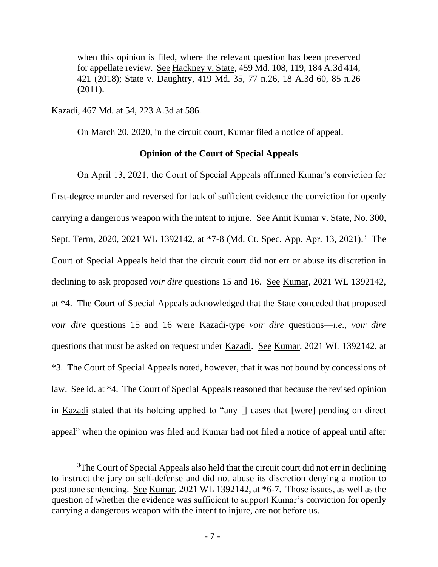when this opinion is filed, where the relevant question has been preserved for appellate review. See Hackney v. State, 459 Md. 108, 119, 184 A.3d 414, 421 (2018); State v. Daughtry, 419 Md. 35, 77 n.26, 18 A.3d 60, 85 n.26 (2011).

Kazadi, 467 Md. at 54, 223 A.3d at 586.

On March 20, 2020, in the circuit court, Kumar filed a notice of appeal.

### **Opinion of the Court of Special Appeals**

On April 13, 2021, the Court of Special Appeals affirmed Kumar's conviction for first-degree murder and reversed for lack of sufficient evidence the conviction for openly carrying a dangerous weapon with the intent to injure. See Amit Kumar v. State, No. 300, Sept. Term, 2020, 2021 WL 1392142, at \*7-8 (Md. Ct. Spec. App. Apr. 13, 2021).<sup>3</sup> The Court of Special Appeals held that the circuit court did not err or abuse its discretion in declining to ask proposed *voir dire* questions 15 and 16. See Kumar, 2021 WL 1392142, at \*4. The Court of Special Appeals acknowledged that the State conceded that proposed *voir dire* questions 15 and 16 were Kazadi-type *voir dire* questions—*i.e.*, *voir dire* questions that must be asked on request under Kazadi. See Kumar, 2021 WL 1392142, at \*3. The Court of Special Appeals noted, however, that it was not bound by concessions of law. See id. at \*4. The Court of Special Appeals reasoned that because the revised opinion in Kazadi stated that its holding applied to "any [] cases that [were] pending on direct appeal" when the opinion was filed and Kumar had not filed a notice of appeal until after

 $3$ The Court of Special Appeals also held that the circuit court did not err in declining to instruct the jury on self-defense and did not abuse its discretion denying a motion to postpone sentencing. See Kumar, 2021 WL 1392142, at \*6-7. Those issues, as well as the question of whether the evidence was sufficient to support Kumar's conviction for openly carrying a dangerous weapon with the intent to injure, are not before us.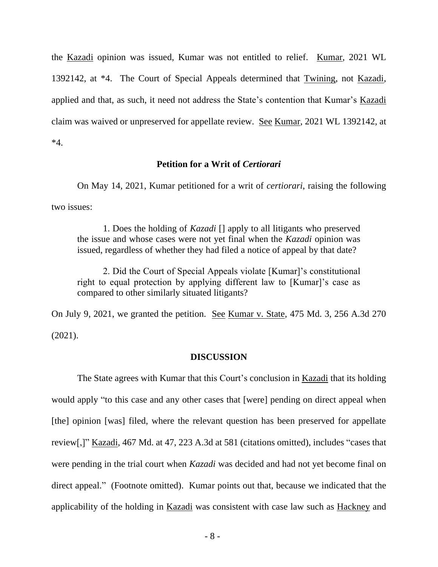the Kazadi opinion was issued, Kumar was not entitled to relief. Kumar, 2021 WL 1392142, at \*4. The Court of Special Appeals determined that Twining, not Kazadi, applied and that, as such, it need not address the State's contention that Kumar's Kazadi claim was waived or unpreserved for appellate review. See Kumar, 2021 WL 1392142, at \*4.

### **Petition for a Writ of** *Certiorari*

On May 14, 2021, Kumar petitioned for a writ of *certiorari*, raising the following two issues:

1. Does the holding of *Kazadi* [] apply to all litigants who preserved the issue and whose cases were not yet final when the *Kazadi* opinion was issued, regardless of whether they had filed a notice of appeal by that date?

2. Did the Court of Special Appeals violate [Kumar]'s constitutional right to equal protection by applying different law to [Kumar]'s case as compared to other similarly situated litigants?

On July 9, 2021, we granted the petition. See Kumar v. State, 475 Md. 3, 256 A.3d 270 (2021).

#### **DISCUSSION**

The State agrees with Kumar that this Court's conclusion in Kazadi that its holding would apply "to this case and any other cases that [were] pending on direct appeal when [the] opinion [was] filed, where the relevant question has been preserved for appellate review[,]" Kazadi, 467 Md. at 47, 223 A.3d at 581 (citations omitted), includes "cases that were pending in the trial court when *Kazadi* was decided and had not yet become final on direct appeal." (Footnote omitted). Kumar points out that, because we indicated that the applicability of the holding in Kazadi was consistent with case law such as Hackney and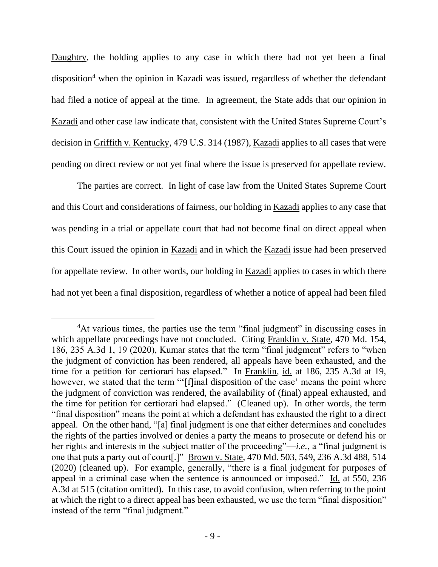Daughtry, the holding applies to any case in which there had not yet been a final disposition<sup>4</sup> when the opinion in Kazadi was issued, regardless of whether the defendant had filed a notice of appeal at the time. In agreement, the State adds that our opinion in Kazadi and other case law indicate that, consistent with the United States Supreme Court's decision in Griffith v. Kentucky, 479 U.S. 314 (1987), Kazadi applies to all cases that were pending on direct review or not yet final where the issue is preserved for appellate review.

The parties are correct. In light of case law from the United States Supreme Court and this Court and considerations of fairness, our holding in Kazadi applies to any case that was pending in a trial or appellate court that had not become final on direct appeal when this Court issued the opinion in Kazadi and in which the Kazadi issue had been preserved for appellate review. In other words, our holding in Kazadi applies to cases in which there had not yet been a final disposition, regardless of whether a notice of appeal had been filed

<sup>&</sup>lt;sup>4</sup>At various times, the parties use the term "final judgment" in discussing cases in which appellate proceedings have not concluded. Citing Franklin v. State, 470 Md. 154, 186, 235 A.3d 1, 19 (2020), Kumar states that the term "final judgment" refers to "when the judgment of conviction has been rendered, all appeals have been exhausted, and the time for a petition for certiorari has elapsed." In Franklin, id. at 186, 235 A.3d at 19, however, we stated that the term "'[f]inal disposition of the case' means the point where the judgment of conviction was rendered, the availability of (final) appeal exhausted, and the time for petition for certiorari had elapsed." (Cleaned up). In other words, the term "final disposition" means the point at which a defendant has exhausted the right to a direct appeal. On the other hand, "[a] final judgment is one that either determines and concludes the rights of the parties involved or denies a party the means to prosecute or defend his or her rights and interests in the subject matter of the proceeding"—*i.e.*, a "final judgment is one that puts a party out of court[.]" Brown v. State, 470 Md. 503, 549, 236 A.3d 488, 514 (2020) (cleaned up). For example, generally, "there is a final judgment for purposes of appeal in a criminal case when the sentence is announced or imposed." Id. at 550, 236 A.3d at 515 (citation omitted). In this case, to avoid confusion, when referring to the point at which the right to a direct appeal has been exhausted, we use the term "final disposition" instead of the term "final judgment."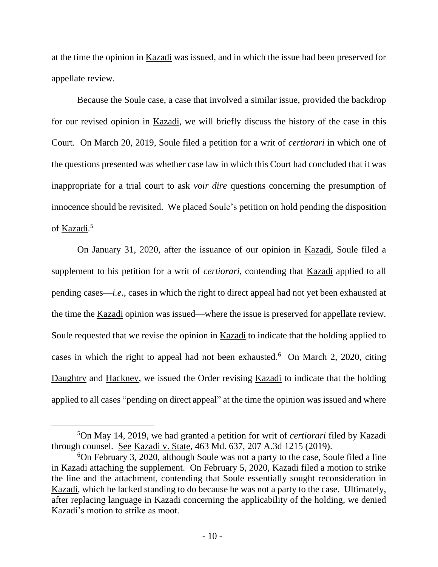at the time the opinion in Kazadi was issued, and in which the issue had been preserved for appellate review.

Because the Soule case, a case that involved a similar issue, provided the backdrop for our revised opinion in Kazadi, we will briefly discuss the history of the case in this Court. On March 20, 2019, Soule filed a petition for a writ of *certiorari* in which one of the questions presented was whether case law in which this Court had concluded that it was inappropriate for a trial court to ask *voir dire* questions concerning the presumption of innocence should be revisited. We placed Soule's petition on hold pending the disposition of <u>Kazadi</u>.<sup>5</sup>

On January 31, 2020, after the issuance of our opinion in Kazadi, Soule filed a supplement to his petition for a writ of *certiorari*, contending that Kazadi applied to all pending cases—*i.e.*, cases in which the right to direct appeal had not yet been exhausted at the time the Kazadi opinion was issued—where the issue is preserved for appellate review. Soule requested that we revise the opinion in Kazadi to indicate that the holding applied to cases in which the right to appeal had not been exhausted. 6 On March 2, 2020, citing Daughtry and Hackney, we issued the Order revising Kazadi to indicate that the holding applied to all cases "pending on direct appeal" at the time the opinion was issued and where

<sup>5</sup>On May 14, 2019, we had granted a petition for writ of *certiorari* filed by Kazadi through counsel. See Kazadi v. State, 463 Md. 637, 207 A.3d 1215 (2019).

<sup>6</sup>On February 3, 2020, although Soule was not a party to the case, Soule filed a line in Kazadi attaching the supplement. On February 5, 2020, Kazadi filed a motion to strike the line and the attachment, contending that Soule essentially sought reconsideration in Kazadi, which he lacked standing to do because he was not a party to the case. Ultimately, after replacing language in Kazadi concerning the applicability of the holding, we denied Kazadi's motion to strike as moot.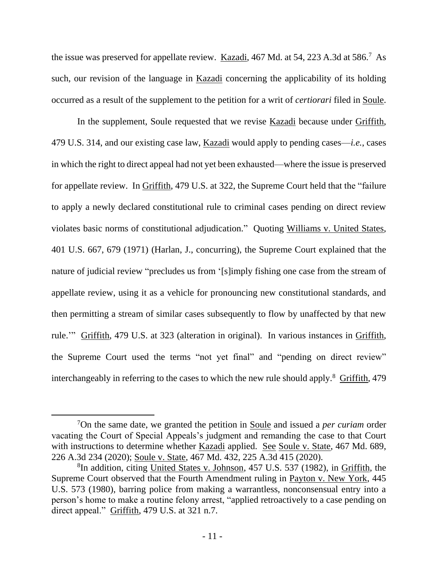the issue was preserved for appellate review. Kazadi, 467 Md. at 54, 223 A.3d at 586.<sup>7</sup> As such, our revision of the language in Kazadi concerning the applicability of its holding occurred as a result of the supplement to the petition for a writ of *certiorari* filed in Soule.

In the supplement, Soule requested that we revise **Kazadi** because under Griffith, 479 U.S. 314, and our existing case law, Kazadi would apply to pending cases—*i.e.*, cases in which the right to direct appeal had not yet been exhausted—where the issue is preserved for appellate review. In Griffith, 479 U.S. at 322, the Supreme Court held that the "failure to apply a newly declared constitutional rule to criminal cases pending on direct review violates basic norms of constitutional adjudication." Quoting Williams v. United States, 401 U.S. 667, 679 (1971) (Harlan, J., concurring), the Supreme Court explained that the nature of judicial review "precludes us from '[s]imply fishing one case from the stream of appellate review, using it as a vehicle for pronouncing new constitutional standards, and then permitting a stream of similar cases subsequently to flow by unaffected by that new rule.'" Griffith, 479 U.S. at 323 (alteration in original). In various instances in Griffith, the Supreme Court used the terms "not yet final" and "pending on direct review" interchangeably in referring to the cases to which the new rule should apply.<sup>8</sup> Griffith, 479

<sup>7</sup>On the same date, we granted the petition in Soule and issued a *per curiam* order vacating the Court of Special Appeals's judgment and remanding the case to that Court with instructions to determine whether Kazadi applied. See Soule v. State, 467 Md. 689, 226 A.3d 234 (2020); Soule v. State, 467 Md. 432, 225 A.3d 415 (2020).

<sup>&</sup>lt;sup>8</sup>In addition, citing United States v. Johnson, 457 U.S. 537 (1982), in Griffith, the Supreme Court observed that the Fourth Amendment ruling in Payton v. New York, 445 U.S. 573 (1980), barring police from making a warrantless, nonconsensual entry into a person's home to make a routine felony arrest, "applied retroactively to a case pending on direct appeal." Griffith, 479 U.S. at 321 n.7.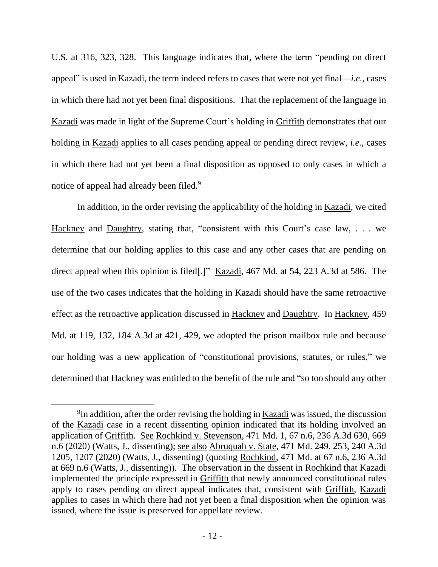U.S. at 316, 323, 328. This language indicates that, where the term "pending on direct appeal" is used in Kazadi, the term indeed refers to cases that were not yet final—*i.e.*, cases in which there had not yet been final dispositions. That the replacement of the language in Kazadi was made in light of the Supreme Court's holding in Griffith demonstrates that our holding in Kazadi applies to all cases pending appeal or pending direct review, *i.e.*, cases in which there had not yet been a final disposition as opposed to only cases in which a notice of appeal had already been filed.<sup>9</sup>

In addition, in the order revising the applicability of the holding in Kazadi, we cited Hackney and Daughtry, stating that, "consistent with this Court's case law, . . . we determine that our holding applies to this case and any other cases that are pending on direct appeal when this opinion is filed[.]" Kazadi, 467 Md. at 54, 223 A.3d at 586. The use of the two cases indicates that the holding in Kazadi should have the same retroactive effect as the retroactive application discussed in Hackney and Daughtry. In Hackney, 459 Md. at 119, 132, 184 A.3d at 421, 429, we adopted the prison mailbox rule and because our holding was a new application of "constitutional provisions, statutes, or rules," we determined that Hackney was entitled to the benefit of the rule and "so too should any other

<sup>&</sup>lt;sup>9</sup>In addition, after the order revising the holding in <u>Kazadi</u> was issued, the discussion of the Kazadi case in a recent dissenting opinion indicated that its holding involved an application of Griffith. See Rochkind v. Stevenson, 471 Md. 1, 67 n.6, 236 A.3d 630, 669 n.6 (2020) (Watts, J., dissenting); see also Abruquah v. State, 471 Md. 249, 253, 240 A.3d 1205, 1207 (2020) (Watts, J., dissenting) (quoting Rochkind, 471 Md. at 67 n.6, 236 A.3d at 669 n.6 (Watts, J., dissenting)). The observation in the dissent in Rochkind that Kazadi implemented the principle expressed in Griffith that newly announced constitutional rules apply to cases pending on direct appeal indicates that, consistent with Griffith, Kazadi applies to cases in which there had not yet been a final disposition when the opinion was issued, where the issue is preserved for appellate review.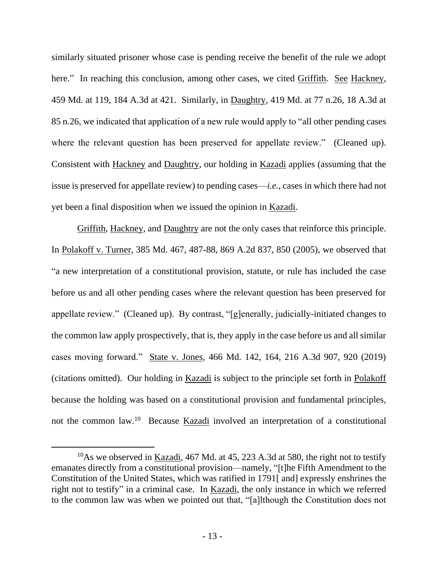similarly situated prisoner whose case is pending receive the benefit of the rule we adopt here." In reaching this conclusion, among other cases, we cited Griffith. See Hackney, 459 Md. at 119, 184 A.3d at 421. Similarly, in Daughtry, 419 Md. at 77 n.26, 18 A.3d at 85 n.26, we indicated that application of a new rule would apply to "all other pending cases where the relevant question has been preserved for appellate review." (Cleaned up). Consistent with Hackney and Daughtry, our holding in Kazadi applies (assuming that the issue is preserved for appellate review) to pending cases—*i.e.*, cases in which there had not yet been a final disposition when we issued the opinion in Kazadi.

Griffith, Hackney, and Daughtry are not the only cases that reinforce this principle. In Polakoff v. Turner, 385 Md. 467, 487-88, 869 A.2d 837, 850 (2005), we observed that "a new interpretation of a constitutional provision, statute, or rule has included the case before us and all other pending cases where the relevant question has been preserved for appellate review." (Cleaned up). By contrast, "[g]enerally, judicially-initiated changes to the common law apply prospectively, that is, they apply in the case before us and all similar cases moving forward." State v. Jones, 466 Md. 142, 164, 216 A.3d 907, 920 (2019) (citations omitted). Our holding in Kazadi is subject to the principle set forth in Polakoff because the holding was based on a constitutional provision and fundamental principles, not the common law.<sup>10</sup> Because Kazadi involved an interpretation of a constitutional

 $10$ As we observed in Kazadi, 467 Md. at 45, 223 A.3d at 580, the right not to testify emanates directly from a constitutional provision—namely, "[t]he Fifth Amendment to the Constitution of the United States, which was ratified in 1791[ and] expressly enshrines the right not to testify" in a criminal case. In Kazadi, the only instance in which we referred to the common law was when we pointed out that, "[a]lthough the Constitution does not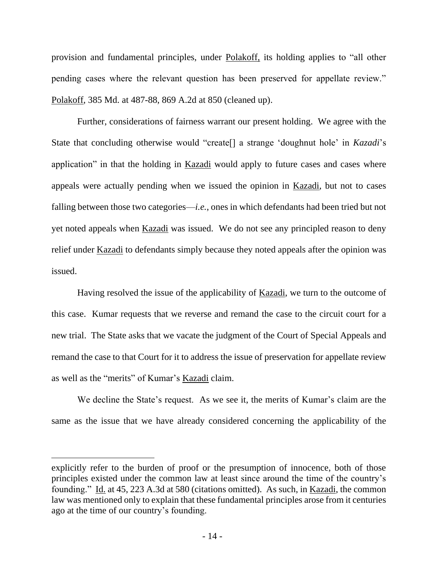provision and fundamental principles, under Polakoff, its holding applies to "all other pending cases where the relevant question has been preserved for appellate review." Polakoff, 385 Md. at 487-88, 869 A.2d at 850 (cleaned up).

Further, considerations of fairness warrant our present holding. We agree with the State that concluding otherwise would "create[] a strange 'doughnut hole' in *Kazadi*'s application" in that the holding in Kazadi would apply to future cases and cases where appeals were actually pending when we issued the opinion in Kazadi, but not to cases falling between those two categories—*i.e.*, ones in which defendants had been tried but not yet noted appeals when Kazadi was issued. We do not see any principled reason to deny relief under Kazadi to defendants simply because they noted appeals after the opinion was issued.

Having resolved the issue of the applicability of Kazadi, we turn to the outcome of this case. Kumar requests that we reverse and remand the case to the circuit court for a new trial. The State asks that we vacate the judgment of the Court of Special Appeals and remand the case to that Court for it to address the issue of preservation for appellate review as well as the "merits" of Kumar's Kazadi claim.

We decline the State's request. As we see it, the merits of Kumar's claim are the same as the issue that we have already considered concerning the applicability of the

explicitly refer to the burden of proof or the presumption of innocence, both of those principles existed under the common law at least since around the time of the country's founding." Id. at 45, 223 A.3d at 580 (citations omitted). As such, in Kazadi, the common law was mentioned only to explain that these fundamental principles arose from it centuries ago at the time of our country's founding.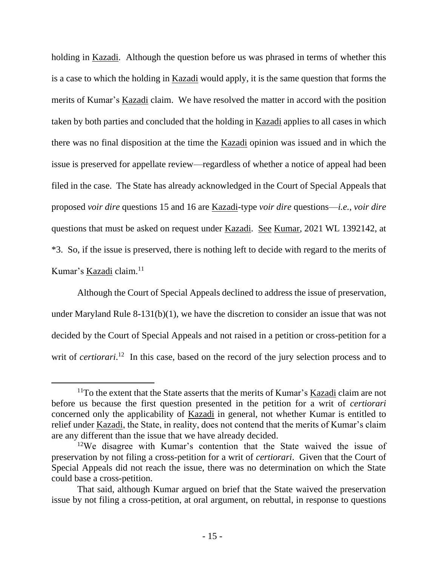holding in Kazadi. Although the question before us was phrased in terms of whether this is a case to which the holding in Kazadi would apply, it is the same question that forms the merits of Kumar's Kazadi claim. We have resolved the matter in accord with the position taken by both parties and concluded that the holding in Kazadi applies to all cases in which there was no final disposition at the time the Kazadi opinion was issued and in which the issue is preserved for appellate review—regardless of whether a notice of appeal had been filed in the case. The State has already acknowledged in the Court of Special Appeals that proposed *voir dire* questions 15 and 16 are Kazadi-type *voir dire* questions—*i.e.*, *voir dire* questions that must be asked on request under Kazadi. See Kumar, 2021 WL 1392142, at \*3. So, if the issue is preserved, there is nothing left to decide with regard to the merits of Kumar's Kazadi claim.<sup>11</sup>

Although the Court of Special Appeals declined to address the issue of preservation, under Maryland Rule 8-131(b)(1), we have the discretion to consider an issue that was not decided by the Court of Special Appeals and not raised in a petition or cross-petition for a writ of *certiorari*.<sup>12</sup> In this case, based on the record of the jury selection process and to

<sup>&</sup>lt;sup>11</sup>To the extent that the State asserts that the merits of Kumar's Kazadi claim are not before us because the first question presented in the petition for a writ of *certiorari* concerned only the applicability of Kazadi in general, not whether Kumar is entitled to relief under <u>Kazadi</u>, the State, in reality, does not contend that the merits of Kumar's claim are any different than the issue that we have already decided.

<sup>&</sup>lt;sup>12</sup>We disagree with Kumar's contention that the State waived the issue of preservation by not filing a cross-petition for a writ of *certiorari*. Given that the Court of Special Appeals did not reach the issue, there was no determination on which the State could base a cross-petition.

That said, although Kumar argued on brief that the State waived the preservation issue by not filing a cross-petition, at oral argument, on rebuttal, in response to questions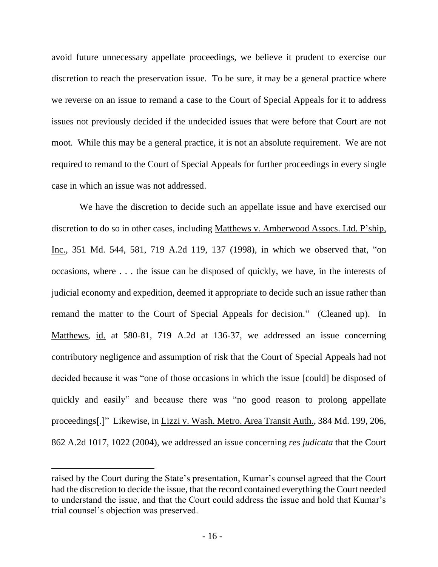avoid future unnecessary appellate proceedings, we believe it prudent to exercise our discretion to reach the preservation issue. To be sure, it may be a general practice where we reverse on an issue to remand a case to the Court of Special Appeals for it to address issues not previously decided if the undecided issues that were before that Court are not moot. While this may be a general practice, it is not an absolute requirement. We are not required to remand to the Court of Special Appeals for further proceedings in every single case in which an issue was not addressed.

We have the discretion to decide such an appellate issue and have exercised our discretion to do so in other cases, including Matthews v. Amberwood Assocs. Ltd. P'ship, Inc., 351 Md. 544, 581, 719 A.2d 119, 137 (1998), in which we observed that, "on occasions, where . . . the issue can be disposed of quickly, we have, in the interests of judicial economy and expedition, deemed it appropriate to decide such an issue rather than remand the matter to the Court of Special Appeals for decision." (Cleaned up). In Matthews, id. at 580-81, 719 A.2d at 136-37, we addressed an issue concerning contributory negligence and assumption of risk that the Court of Special Appeals had not decided because it was "one of those occasions in which the issue [could] be disposed of quickly and easily" and because there was "no good reason to prolong appellate proceedings[.]" Likewise, in Lizzi v. Wash. Metro. Area Transit Auth., 384 Md. 199, 206, 862 A.2d 1017, 1022 (2004), we addressed an issue concerning *res judicata* that the Court

raised by the Court during the State's presentation, Kumar's counsel agreed that the Court had the discretion to decide the issue, that the record contained everything the Court needed to understand the issue, and that the Court could address the issue and hold that Kumar's trial counsel's objection was preserved.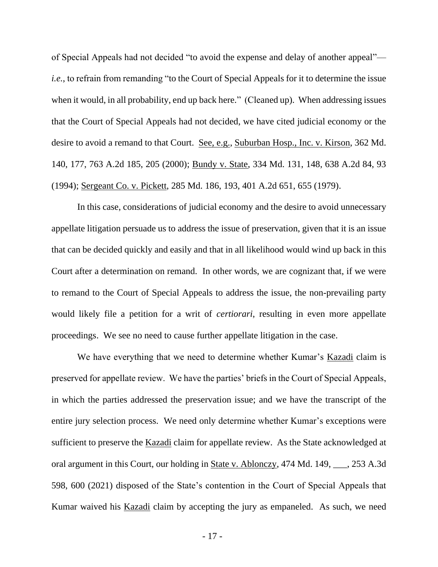of Special Appeals had not decided "to avoid the expense and delay of another appeal" *i.e.*, to refrain from remanding "to the Court of Special Appeals for it to determine the issue when it would, in all probability, end up back here." (Cleaned up). When addressing issues that the Court of Special Appeals had not decided, we have cited judicial economy or the desire to avoid a remand to that Court. See, e.g., Suburban Hosp., Inc. v. Kirson, 362 Md. 140, 177, 763 A.2d 185, 205 (2000); Bundy v. State, 334 Md. 131, 148, 638 A.2d 84, 93 (1994); Sergeant Co. v. Pickett, 285 Md. 186, 193, 401 A.2d 651, 655 (1979).

In this case, considerations of judicial economy and the desire to avoid unnecessary appellate litigation persuade us to address the issue of preservation, given that it is an issue that can be decided quickly and easily and that in all likelihood would wind up back in this Court after a determination on remand. In other words, we are cognizant that, if we were to remand to the Court of Special Appeals to address the issue, the non-prevailing party would likely file a petition for a writ of *certiorari*, resulting in even more appellate proceedings. We see no need to cause further appellate litigation in the case.

We have everything that we need to determine whether Kumar's Kazadi claim is preserved for appellate review. We have the parties' briefs in the Court of Special Appeals, in which the parties addressed the preservation issue; and we have the transcript of the entire jury selection process. We need only determine whether Kumar's exceptions were sufficient to preserve the Kazadi claim for appellate review. As the State acknowledged at oral argument in this Court, our holding in **State v. Ablonczy**, 474 Md. 149, 253 A.3d 598, 600 (2021) disposed of the State's contention in the Court of Special Appeals that Kumar waived his Kazadi claim by accepting the jury as empaneled. As such, we need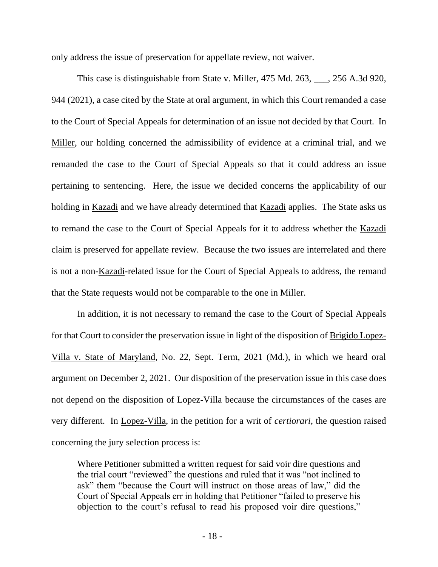only address the issue of preservation for appellate review, not waiver.

This case is distinguishable from State v. Miller, 475 Md. 263, \_\_\_, 256 A.3d 920, 944 (2021), a case cited by the State at oral argument, in which this Court remanded a case to the Court of Special Appeals for determination of an issue not decided by that Court. In Miller, our holding concerned the admissibility of evidence at a criminal trial, and we remanded the case to the Court of Special Appeals so that it could address an issue pertaining to sentencing. Here, the issue we decided concerns the applicability of our holding in Kazadi and we have already determined that Kazadi applies. The State asks us to remand the case to the Court of Special Appeals for it to address whether the Kazadi claim is preserved for appellate review. Because the two issues are interrelated and there is not a non-Kazadi-related issue for the Court of Special Appeals to address, the remand that the State requests would not be comparable to the one in Miller.

In addition, it is not necessary to remand the case to the Court of Special Appeals for that Court to consider the preservation issue in light of the disposition of Brigido Lopez-Villa v. State of Maryland, No. 22, Sept. Term, 2021 (Md.), in which we heard oral argument on December 2, 2021. Our disposition of the preservation issue in this case does not depend on the disposition of Lopez-Villa because the circumstances of the cases are very different. In Lopez-Villa, in the petition for a writ of *certiorari*, the question raised concerning the jury selection process is:

Where Petitioner submitted a written request for said voir dire questions and the trial court "reviewed" the questions and ruled that it was "not inclined to ask" them "because the Court will instruct on those areas of law," did the Court of Special Appeals err in holding that Petitioner "failed to preserve his objection to the court's refusal to read his proposed voir dire questions,"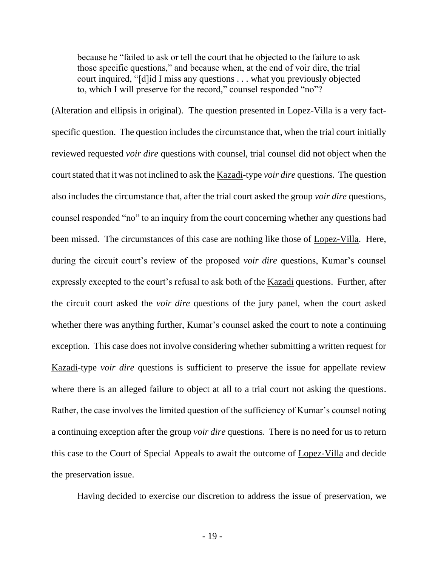because he "failed to ask or tell the court that he objected to the failure to ask those specific questions," and because when, at the end of voir dire, the trial court inquired, "[d]id I miss any questions . . . what you previously objected to, which I will preserve for the record," counsel responded "no"?

(Alteration and ellipsis in original). The question presented in Lopez-Villa is a very factspecific question. The question includes the circumstance that, when the trial court initially reviewed requested *voir dire* questions with counsel, trial counsel did not object when the court stated that it was not inclined to ask the Kazadi-type *voir dire* questions. The question also includes the circumstance that, after the trial court asked the group *voir dire* questions, counsel responded "no" to an inquiry from the court concerning whether any questions had been missed. The circumstances of this case are nothing like those of Lopez-Villa. Here, during the circuit court's review of the proposed *voir dire* questions, Kumar's counsel expressly excepted to the court's refusal to ask both of the Kazadi questions. Further, after the circuit court asked the *voir dire* questions of the jury panel, when the court asked whether there was anything further, Kumar's counsel asked the court to note a continuing exception. This case does not involve considering whether submitting a written request for Kazadi-type *voir dire* questions is sufficient to preserve the issue for appellate review where there is an alleged failure to object at all to a trial court not asking the questions. Rather, the case involves the limited question of the sufficiency of Kumar's counsel noting a continuing exception after the group *voir dire* questions. There is no need for us to return this case to the Court of Special Appeals to await the outcome of Lopez-Villa and decide the preservation issue.

Having decided to exercise our discretion to address the issue of preservation, we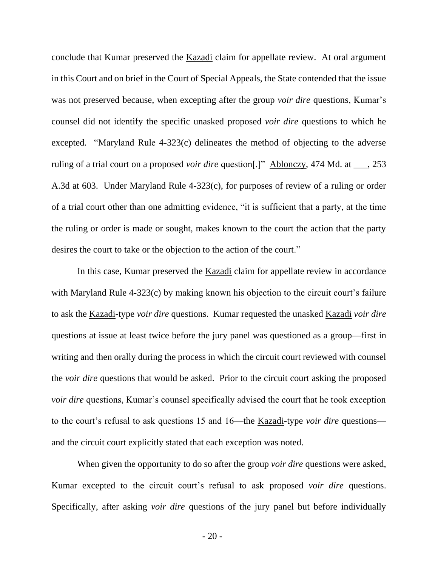conclude that Kumar preserved the Kazadi claim for appellate review. At oral argument in this Court and on brief in the Court of Special Appeals, the State contended that the issue was not preserved because, when excepting after the group *voir dire* questions, Kumar's counsel did not identify the specific unasked proposed *voir dire* questions to which he excepted. "Maryland Rule 4-323(c) delineates the method of objecting to the adverse ruling of a trial court on a proposed *voir dire* question[.]" Ablonczy, 474 Md. at \_\_\_, 253 A.3d at 603. Under Maryland Rule 4-323(c), for purposes of review of a ruling or order of a trial court other than one admitting evidence, "it is sufficient that a party, at the time the ruling or order is made or sought, makes known to the court the action that the party desires the court to take or the objection to the action of the court."

In this case, Kumar preserved the **Kazadi** claim for appellate review in accordance with Maryland Rule 4-323(c) by making known his objection to the circuit court's failure to ask the Kazadi-type *voir dire* questions. Kumar requested the unasked Kazadi *voir dire* questions at issue at least twice before the jury panel was questioned as a group—first in writing and then orally during the process in which the circuit court reviewed with counsel the *voir dire* questions that would be asked. Prior to the circuit court asking the proposed *voir dire* questions, Kumar's counsel specifically advised the court that he took exception to the court's refusal to ask questions 15 and 16—the Kazadi-type *voir dire* questions and the circuit court explicitly stated that each exception was noted.

When given the opportunity to do so after the group *voir dire* questions were asked, Kumar excepted to the circuit court's refusal to ask proposed *voir dire* questions. Specifically, after asking *voir dire* questions of the jury panel but before individually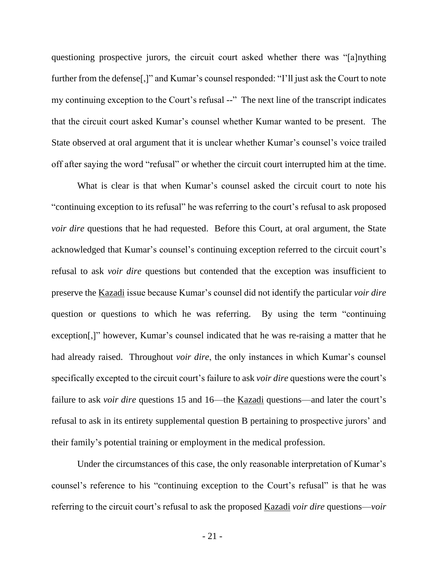questioning prospective jurors, the circuit court asked whether there was "[a]nything further from the defense[,]" and Kumar's counsel responded: "I'll just ask the Court to note my continuing exception to the Court's refusal --" The next line of the transcript indicates that the circuit court asked Kumar's counsel whether Kumar wanted to be present. The State observed at oral argument that it is unclear whether Kumar's counsel's voice trailed off after saying the word "refusal" or whether the circuit court interrupted him at the time.

What is clear is that when Kumar's counsel asked the circuit court to note his "continuing exception to its refusal" he was referring to the court's refusal to ask proposed *voir dire* questions that he had requested. Before this Court, at oral argument, the State acknowledged that Kumar's counsel's continuing exception referred to the circuit court's refusal to ask *voir dire* questions but contended that the exception was insufficient to preserve the Kazadi issue because Kumar's counsel did not identify the particular *voir dire*  question or questions to which he was referring. By using the term "continuing exception[,]" however, Kumar's counsel indicated that he was re-raising a matter that he had already raised. Throughout *voir dire*, the only instances in which Kumar's counsel specifically excepted to the circuit court's failure to ask *voir dire* questions were the court's failure to ask *voir dire* questions 15 and 16—the Kazadi questions—and later the court's refusal to ask in its entirety supplemental question B pertaining to prospective jurors' and their family's potential training or employment in the medical profession.

Under the circumstances of this case, the only reasonable interpretation of Kumar's counsel's reference to his "continuing exception to the Court's refusal" is that he was referring to the circuit court's refusal to ask the proposed Kazadi *voir dire* questions—*voir*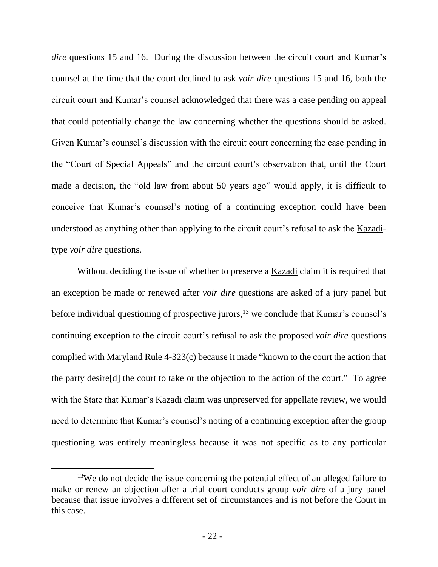*dire* questions 15 and 16. During the discussion between the circuit court and Kumar's counsel at the time that the court declined to ask *voir dire* questions 15 and 16, both the circuit court and Kumar's counsel acknowledged that there was a case pending on appeal that could potentially change the law concerning whether the questions should be asked. Given Kumar's counsel's discussion with the circuit court concerning the case pending in the "Court of Special Appeals" and the circuit court's observation that, until the Court made a decision, the "old law from about 50 years ago" would apply, it is difficult to conceive that Kumar's counsel's noting of a continuing exception could have been understood as anything other than applying to the circuit court's refusal to ask the Kazaditype *voir dire* questions.

Without deciding the issue of whether to preserve a **Kazadi** claim it is required that an exception be made or renewed after *voir dire* questions are asked of a jury panel but before individual questioning of prospective jurors, $13$  we conclude that Kumar's counsel's continuing exception to the circuit court's refusal to ask the proposed *voir dire* questions complied with Maryland Rule 4-323(c) because it made "known to the court the action that the party desire[d] the court to take or the objection to the action of the court." To agree with the State that Kumar's Kazadi claim was unpreserved for appellate review, we would need to determine that Kumar's counsel's noting of a continuing exception after the group questioning was entirely meaningless because it was not specific as to any particular

 $13W$ e do not decide the issue concerning the potential effect of an alleged failure to make or renew an objection after a trial court conducts group *voir dire* of a jury panel because that issue involves a different set of circumstances and is not before the Court in this case.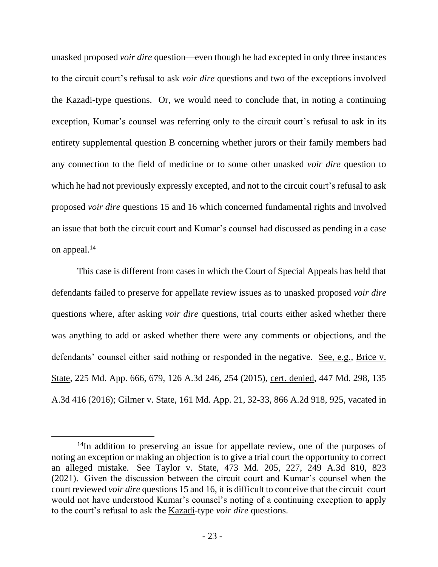unasked proposed *voir dire* question—even though he had excepted in only three instances to the circuit court's refusal to ask *voir dire* questions and two of the exceptions involved the Kazadi-type questions. Or, we would need to conclude that, in noting a continuing exception, Kumar's counsel was referring only to the circuit court's refusal to ask in its entirety supplemental question B concerning whether jurors or their family members had any connection to the field of medicine or to some other unasked *voir dire* question to which he had not previously expressly excepted, and not to the circuit court's refusal to ask proposed *voir dire* questions 15 and 16 which concerned fundamental rights and involved an issue that both the circuit court and Kumar's counsel had discussed as pending in a case on appeal.<sup>14</sup>

This case is different from cases in which the Court of Special Appeals has held that defendants failed to preserve for appellate review issues as to unasked proposed *voir dire* questions where, after asking *voir dire* questions, trial courts either asked whether there was anything to add or asked whether there were any comments or objections, and the defendants' counsel either said nothing or responded in the negative. See, e.g., Brice v. State, 225 Md. App. 666, 679, 126 A.3d 246, 254 (2015), cert. denied, 447 Md. 298, 135 A.3d 416 (2016); Gilmer v. State, 161 Md. App. 21, 32-33, 866 A.2d 918, 925, vacated in

<sup>&</sup>lt;sup>14</sup>In addition to preserving an issue for appellate review, one of the purposes of noting an exception or making an objection is to give a trial court the opportunity to correct an alleged mistake. See Taylor v. State, 473 Md. 205, 227, 249 A.3d 810, 823 (2021). Given the discussion between the circuit court and Kumar's counsel when the court reviewed *voir dire* questions 15 and 16, it is difficult to conceive that the circuit court would not have understood Kumar's counsel's noting of a continuing exception to apply to the court's refusal to ask the Kazadi-type *voir dire* questions.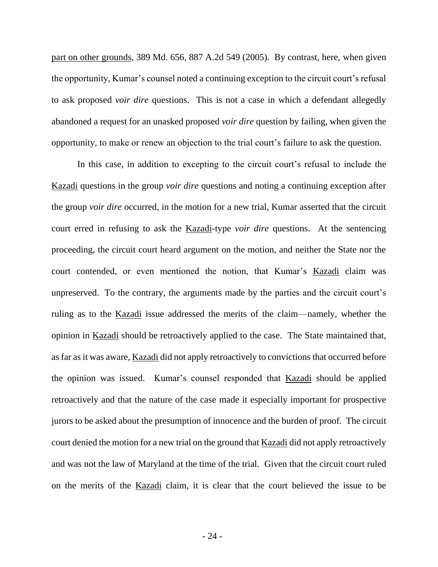part on other grounds, 389 Md. 656, 887 A.2d 549 (2005). By contrast, here, when given the opportunity, Kumar's counsel noted a continuing exception to the circuit court's refusal to ask proposed *voir dire* questions. This is not a case in which a defendant allegedly abandoned a request for an unasked proposed *voir dire* question by failing, when given the opportunity, to make or renew an objection to the trial court's failure to ask the question.

In this case, in addition to excepting to the circuit court's refusal to include the Kazadi questions in the group *voir dire* questions and noting a continuing exception after the group *voir dire* occurred, in the motion for a new trial, Kumar asserted that the circuit court erred in refusing to ask the Kazadi-type *voir dire* questions. At the sentencing proceeding, the circuit court heard argument on the motion, and neither the State nor the court contended, or even mentioned the notion, that Kumar's Kazadi claim was unpreserved. To the contrary, the arguments made by the parties and the circuit court's ruling as to the Kazadi issue addressed the merits of the claim—namely, whether the opinion in Kazadi should be retroactively applied to the case. The State maintained that, as far as it was aware, Kazadi did not apply retroactively to convictions that occurred before the opinion was issued. Kumar's counsel responded that Kazadi should be applied retroactively and that the nature of the case made it especially important for prospective jurors to be asked about the presumption of innocence and the burden of proof. The circuit court denied the motion for a new trial on the ground that Kazadi did not apply retroactively and was not the law of Maryland at the time of the trial. Given that the circuit court ruled on the merits of the Kazadi claim, it is clear that the court believed the issue to be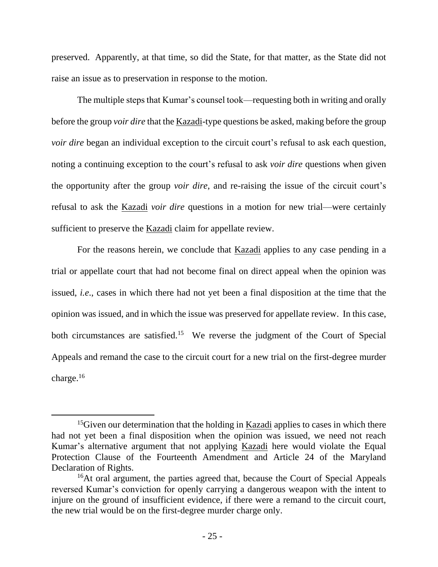preserved. Apparently, at that time, so did the State, for that matter, as the State did not raise an issue as to preservation in response to the motion.

The multiple steps that Kumar's counsel took—requesting both in writing and orally before the group *voir dire* that the Kazadi-type questions be asked, making before the group *voir dire* began an individual exception to the circuit court's refusal to ask each question, noting a continuing exception to the court's refusal to ask *voir dire* questions when given the opportunity after the group *voir dire*, and re-raising the issue of the circuit court's refusal to ask the Kazadi *voir dire* questions in a motion for new trial—were certainly sufficient to preserve the Kazadi claim for appellate review.

For the reasons herein, we conclude that Kazadi applies to any case pending in a trial or appellate court that had not become final on direct appeal when the opinion was issued, *i.e*., cases in which there had not yet been a final disposition at the time that the opinion was issued, and in which the issue was preserved for appellate review. In this case, both circumstances are satisfied.<sup>15</sup> We reverse the judgment of the Court of Special Appeals and remand the case to the circuit court for a new trial on the first-degree murder charge.<sup>16</sup>

<sup>&</sup>lt;sup>15</sup>Given our determination that the holding in Kazadi applies to cases in which there had not yet been a final disposition when the opinion was issued, we need not reach Kumar's alternative argument that not applying Kazadi here would violate the Equal Protection Clause of the Fourteenth Amendment and Article 24 of the Maryland Declaration of Rights.

<sup>&</sup>lt;sup>16</sup>At oral argument, the parties agreed that, because the Court of Special Appeals reversed Kumar's conviction for openly carrying a dangerous weapon with the intent to injure on the ground of insufficient evidence, if there were a remand to the circuit court, the new trial would be on the first-degree murder charge only.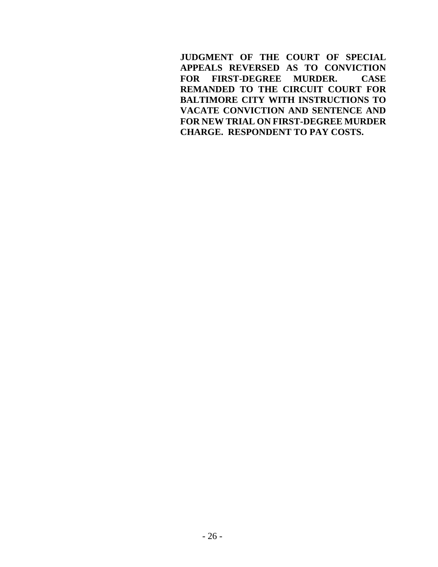**JUDGMENT OF THE COURT OF SPECIAL APPEALS REVERSED AS TO CONVICTION FOR FIRST-DEGREE MURDER. CASE REMANDED TO THE CIRCUIT COURT FOR BALTIMORE CITY WITH INSTRUCTIONS TO VACATE CONVICTION AND SENTENCE AND FOR NEW TRIAL ON FIRST-DEGREE MURDER CHARGE. RESPONDENT TO PAY COSTS.**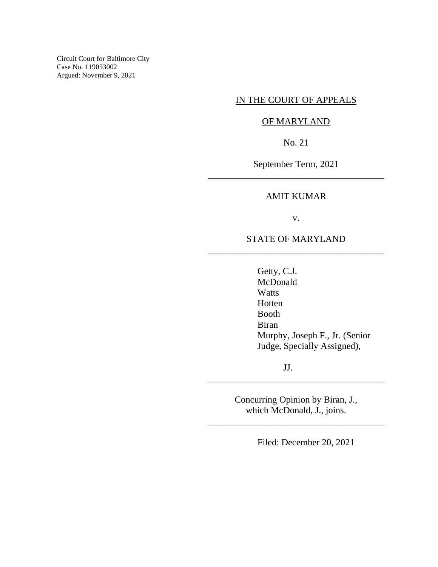Circuit Court for Baltimore City Case No. 119053002 Argued: November 9, 2021

# IN THE COURT OF APPEALS

### OF MARYLAND

No. 21

September Term, 2021 \_\_\_\_\_\_\_\_\_\_\_\_\_\_\_\_\_\_\_\_\_\_\_\_\_\_\_\_\_\_\_\_\_\_\_\_\_\_

### AMIT KUMAR

v.

# STATE OF MARYLAND \_\_\_\_\_\_\_\_\_\_\_\_\_\_\_\_\_\_\_\_\_\_\_\_\_\_\_\_\_\_\_\_\_\_\_\_\_\_

Getty, C.J. McDonald **Watts** Hotten Booth Biran Murphy, Joseph F., Jr. (Senior Judge, Specially Assigned),

JJ.

Concurring Opinion by Biran, J., which McDonald, J., joins.

\_\_\_\_\_\_\_\_\_\_\_\_\_\_\_\_\_\_\_\_\_\_\_\_\_\_\_\_\_\_\_\_\_\_\_\_\_\_

\_\_\_\_\_\_\_\_\_\_\_\_\_\_\_\_\_\_\_\_\_\_\_\_\_\_\_\_\_\_\_\_\_\_\_\_\_\_

Filed: December 20, 2021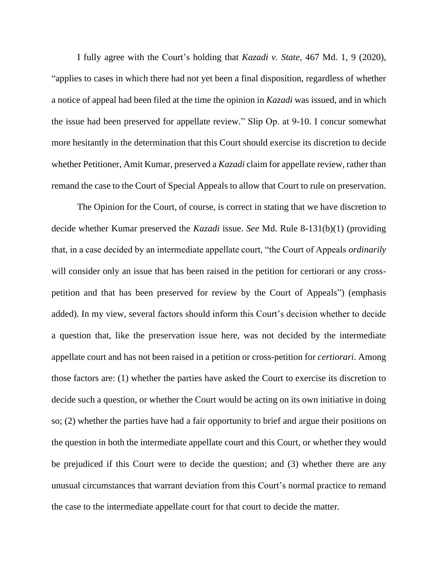I fully agree with the Court's holding that *Kazadi v. State*, 467 Md. 1, 9 (2020), "applies to cases in which there had not yet been a final disposition, regardless of whether a notice of appeal had been filed at the time the opinion in *Kazadi* was issued, and in which the issue had been preserved for appellate review." Slip Op. at 9-10. I concur somewhat more hesitantly in the determination that this Court should exercise its discretion to decide whether Petitioner, Amit Kumar, preserved a *Kazadi* claim for appellate review, rather than remand the case to the Court of Special Appeals to allow that Court to rule on preservation.

The Opinion for the Court, of course, is correct in stating that we have discretion to decide whether Kumar preserved the *Kazadi* issue. *See* Md. Rule 8-131(b)(1) (providing that, in a case decided by an intermediate appellate court, "the Court of Appeals *ordinarily* will consider only an issue that has been raised in the petition for certiorari or any crosspetition and that has been preserved for review by the Court of Appeals") (emphasis added). In my view, several factors should inform this Court's decision whether to decide a question that, like the preservation issue here, was not decided by the intermediate appellate court and has not been raised in a petition or cross-petition for *certiorari*. Among those factors are: (1) whether the parties have asked the Court to exercise its discretion to decide such a question, or whether the Court would be acting on its own initiative in doing so; (2) whether the parties have had a fair opportunity to brief and argue their positions on the question in both the intermediate appellate court and this Court, or whether they would be prejudiced if this Court were to decide the question; and (3) whether there are any unusual circumstances that warrant deviation from this Court's normal practice to remand the case to the intermediate appellate court for that court to decide the matter.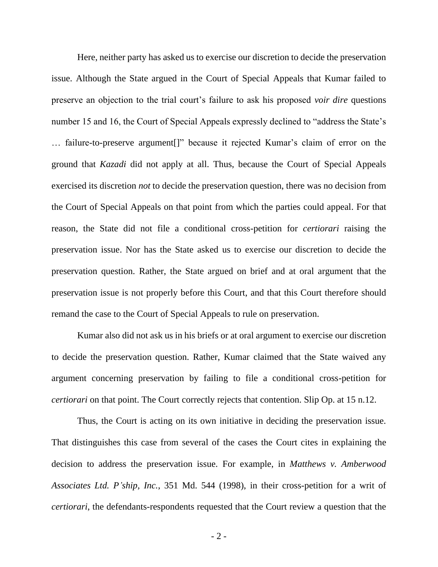Here, neither party has asked us to exercise our discretion to decide the preservation issue. Although the State argued in the Court of Special Appeals that Kumar failed to preserve an objection to the trial court's failure to ask his proposed *voir dire* questions number 15 and 16, the Court of Special Appeals expressly declined to "address the State's … failure-to-preserve argument[]" because it rejected Kumar's claim of error on the ground that *Kazadi* did not apply at all. Thus, because the Court of Special Appeals exercised its discretion *not* to decide the preservation question, there was no decision from the Court of Special Appeals on that point from which the parties could appeal. For that reason, the State did not file a conditional cross-petition for *certiorari* raising the preservation issue. Nor has the State asked us to exercise our discretion to decide the preservation question. Rather, the State argued on brief and at oral argument that the preservation issue is not properly before this Court, and that this Court therefore should remand the case to the Court of Special Appeals to rule on preservation.

Kumar also did not ask us in his briefs or at oral argument to exercise our discretion to decide the preservation question. Rather, Kumar claimed that the State waived any argument concerning preservation by failing to file a conditional cross-petition for *certiorari* on that point. The Court correctly rejects that contention. Slip Op. at 15 n.12.

Thus, the Court is acting on its own initiative in deciding the preservation issue. That distinguishes this case from several of the cases the Court cites in explaining the decision to address the preservation issue. For example, in *Matthews v. Amberwood Associates Ltd. P'ship, Inc.*, 351 Md. 544 (1998), in their cross-petition for a writ of *certiorari*, the defendants-respondents requested that the Court review a question that the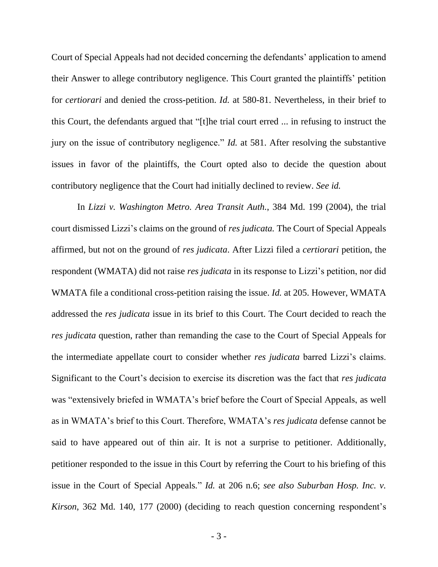Court of Special Appeals had not decided concerning the defendants' application to amend their Answer to allege contributory negligence. This Court granted the plaintiffs' petition for *certiorari* and denied the cross-petition. *Id.* at 580-81. Nevertheless, in their brief to this Court, the defendants argued that "[t]he trial court erred ... in refusing to instruct the jury on the issue of contributory negligence." *Id.* at 581. After resolving the substantive issues in favor of the plaintiffs, the Court opted also to decide the question about contributory negligence that the Court had initially declined to review. *See id.* 

In *Lizzi v. Washington Metro. Area Transit Auth.*, 384 Md. 199 (2004), the trial court dismissed Lizzi's claims on the ground of *res judicata.* The Court of Special Appeals affirmed, but not on the ground of *res judicata*. After Lizzi filed a *certiorari* petition, the respondent (WMATA) did not raise *res judicata* in its response to Lizzi's petition, nor did WMATA file a conditional cross-petition raising the issue. *Id.* at 205. However, WMATA addressed the *res judicata* issue in its brief to this Court. The Court decided to reach the *res judicata* question, rather than remanding the case to the Court of Special Appeals for the intermediate appellate court to consider whether *res judicata* barred Lizzi's claims. Significant to the Court's decision to exercise its discretion was the fact that *res judicata* was "extensively briefed in WMATA's brief before the Court of Special Appeals, as well as in WMATA's brief to this Court. Therefore, WMATA's *res judicata* defense cannot be said to have appeared out of thin air. It is not a surprise to petitioner. Additionally, petitioner responded to the issue in this Court by referring the Court to his briefing of this issue in the Court of Special Appeals*.*" *Id.* at 206 n.6; *see also Suburban Hosp. Inc. v. Kirson*, 362 Md. 140, 177 (2000) (deciding to reach question concerning respondent's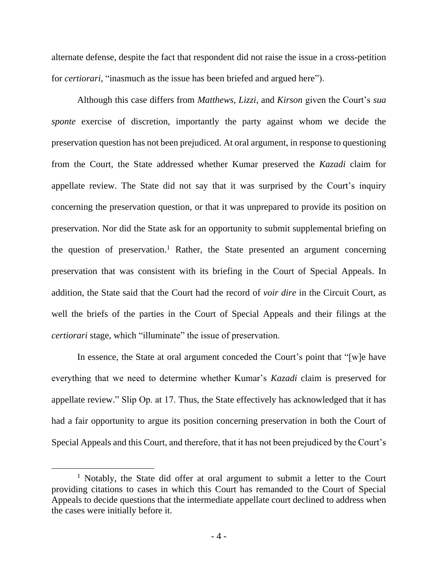alternate defense, despite the fact that respondent did not raise the issue in a cross-petition for *certiorari*, "inasmuch as the issue has been briefed and argued here").

Although this case differs from *Matthews*, *Lizzi*, and *Kirson* given the Court's *sua sponte* exercise of discretion, importantly the party against whom we decide the preservation question has not been prejudiced. At oral argument, in response to questioning from the Court, the State addressed whether Kumar preserved the *Kazadi* claim for appellate review. The State did not say that it was surprised by the Court's inquiry concerning the preservation question, or that it was unprepared to provide its position on preservation. Nor did the State ask for an opportunity to submit supplemental briefing on the question of preservation. <sup>1</sup> Rather, the State presented an argument concerning preservation that was consistent with its briefing in the Court of Special Appeals. In addition, the State said that the Court had the record of *voir dire* in the Circuit Court, as well the briefs of the parties in the Court of Special Appeals and their filings at the *certiorari* stage, which "illuminate" the issue of preservation.

In essence, the State at oral argument conceded the Court's point that "[w]e have everything that we need to determine whether Kumar's *Kazadi* claim is preserved for appellate review." Slip Op. at 17. Thus, the State effectively has acknowledged that it has had a fair opportunity to argue its position concerning preservation in both the Court of Special Appeals and this Court, and therefore, that it has not been prejudiced by the Court's

<sup>&</sup>lt;sup>1</sup> Notably, the State did offer at oral argument to submit a letter to the Court providing citations to cases in which this Court has remanded to the Court of Special Appeals to decide questions that the intermediate appellate court declined to address when the cases were initially before it.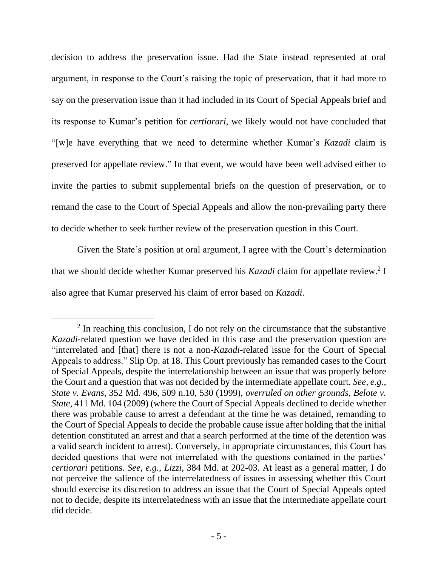decision to address the preservation issue. Had the State instead represented at oral argument, in response to the Court's raising the topic of preservation, that it had more to say on the preservation issue than it had included in its Court of Special Appeals brief and its response to Kumar's petition for *certiorari*, we likely would not have concluded that "[w]e have everything that we need to determine whether Kumar's *Kazadi* claim is preserved for appellate review." In that event, we would have been well advised either to invite the parties to submit supplemental briefs on the question of preservation, or to remand the case to the Court of Special Appeals and allow the non-prevailing party there to decide whether to seek further review of the preservation question in this Court.

Given the State's position at oral argument, I agree with the Court's determination that we should decide whether Kumar preserved his *Kazadi* claim for appellate review.<sup>2</sup> I also agree that Kumar preserved his claim of error based on *Kazadi*.

<sup>&</sup>lt;sup>2</sup> In reaching this conclusion, I do not rely on the circumstance that the substantive *Kazadi*-related question we have decided in this case and the preservation question are "interrelated and [that] there is not a non-*Kazadi*-related issue for the Court of Special Appeals to address." Slip Op. at 18. This Court previously has remanded cases to the Court of Special Appeals, despite the interrelationship between an issue that was properly before the Court and a question that was not decided by the intermediate appellate court. *See, e.g.*, *State v. Evans*, 352 Md. 496, 509 n.10, 530 (1999), *overruled on other grounds*, *Belote v. State*, 411 Md. 104 (2009) (where the Court of Special Appeals declined to decide whether there was probable cause to arrest a defendant at the time he was detained, remanding to the Court of Special Appeals to decide the probable cause issue after holding that the initial detention constituted an arrest and that a search performed at the time of the detention was a valid search incident to arrest). Conversely, in appropriate circumstances, this Court has decided questions that were not interrelated with the questions contained in the parties' *certiorari* petitions. *See, e.g.*, *Lizzi*, 384 Md. at 202-03. At least as a general matter, I do not perceive the salience of the interrelatedness of issues in assessing whether this Court should exercise its discretion to address an issue that the Court of Special Appeals opted not to decide, despite its interrelatedness with an issue that the intermediate appellate court did decide.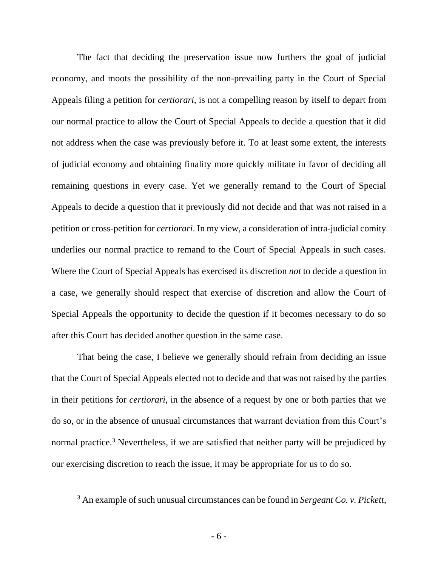The fact that deciding the preservation issue now furthers the goal of judicial economy, and moots the possibility of the non-prevailing party in the Court of Special Appeals filing a petition for *certiorari*, is not a compelling reason by itself to depart from our normal practice to allow the Court of Special Appeals to decide a question that it did not address when the case was previously before it. To at least some extent, the interests of judicial economy and obtaining finality more quickly militate in favor of deciding all remaining questions in every case. Yet we generally remand to the Court of Special Appeals to decide a question that it previously did not decide and that was not raised in a petition or cross-petition for *certiorari*. In my view, a consideration of intra-judicial comity underlies our normal practice to remand to the Court of Special Appeals in such cases. Where the Court of Special Appeals has exercised its discretion *not* to decide a question in a case, we generally should respect that exercise of discretion and allow the Court of Special Appeals the opportunity to decide the question if it becomes necessary to do so after this Court has decided another question in the same case.

That being the case, I believe we generally should refrain from deciding an issue that the Court of Special Appeals elected not to decide and that was not raised by the parties in their petitions for *certiorari*, in the absence of a request by one or both parties that we do so, or in the absence of unusual circumstances that warrant deviation from this Court's normal practice.<sup>3</sup> Nevertheless, if we are satisfied that neither party will be prejudiced by our exercising discretion to reach the issue, it may be appropriate for us to do so.

<sup>3</sup> An example of such unusual circumstances can be found in *Sergeant Co. v. Pickett*,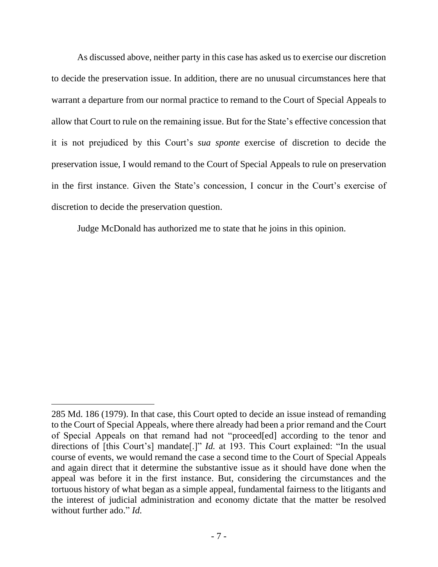As discussed above, neither party in this case has asked us to exercise our discretion to decide the preservation issue. In addition, there are no unusual circumstances here that warrant a departure from our normal practice to remand to the Court of Special Appeals to allow that Court to rule on the remaining issue. But for the State's effective concession that it is not prejudiced by this Court's *sua sponte* exercise of discretion to decide the preservation issue, I would remand to the Court of Special Appeals to rule on preservation in the first instance. Given the State's concession, I concur in the Court's exercise of discretion to decide the preservation question.

Judge McDonald has authorized me to state that he joins in this opinion.

<sup>285</sup> Md. 186 (1979). In that case, this Court opted to decide an issue instead of remanding to the Court of Special Appeals, where there already had been a prior remand and the Court of Special Appeals on that remand had not "proceed[ed] according to the tenor and directions of [this Court's] mandate[.]" *Id.* at 193. This Court explained: "In the usual course of events, we would remand the case a second time to the Court of Special Appeals and again direct that it determine the substantive issue as it should have done when the appeal was before it in the first instance. But, considering the circumstances and the tortuous history of what began as a simple appeal, fundamental fairness to the litigants and the interest of judicial administration and economy dictate that the matter be resolved without further ado." *Id.*